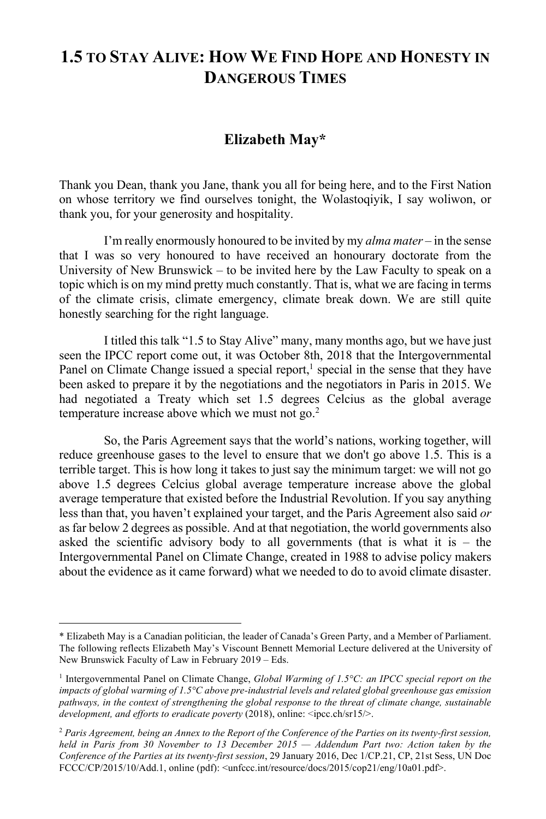## **1.5 TO STAY ALIVE: HOW WE FIND HOPE AND HONESTY IN DANGEROUS TIMES**

## **Elizabeth May\***

Thank you Dean, thank you Jane, thank you all for being here, and to the First Nation on whose territory we find ourselves tonight, the Wolastoqiyik, I say woliwon, or thank you, for your generosity and hospitality.

I'm really enormously honoured to be invited by my *alma mater* – in the sense that I was so very honoured to have received an honourary doctorate from the University of New Brunswick – to be invited here by the Law Faculty to speak on a topic which is on my mind pretty much constantly. That is, what we are facing in terms of the climate crisis, climate emergency, climate break down. We are still quite honestly searching for the right language.

I titled this talk "1.5 to Stay Alive" many, many months ago, but we have just seen the IPCC report come out, it was October 8th, 2018 that the Intergovernmental Panel on Climate Change issued a special report, $<sup>1</sup>$  special in the sense that they have</sup> been asked to prepare it by the negotiations and the negotiators in Paris in 2015. We had negotiated a Treaty which set 1.5 degrees Celcius as the global average temperature increase above which we must not go. $2$ 

So, the Paris Agreement says that the world's nations, working together, will reduce greenhouse gases to the level to ensure that we don't go above 1.5. This is a terrible target. This is how long it takes to just say the minimum target: we will not go above 1.5 degrees Celcius global average temperature increase above the global average temperature that existed before the Industrial Revolution. If you say anything less than that, you haven't explained your target, and the Paris Agreement also said *or* as far below 2 degrees as possible. And at that negotiation, the world governments also asked the scientific advisory body to all governments (that is what it is  $-$  the Intergovernmental Panel on Climate Change, created in 1988 to advise policy makers about the evidence as it came forward) what we needed to do to avoid climate disaster.

<sup>\*</sup> Elizabeth May is a Canadian politician, the leader of Canada's Green Party, and a Member of Parliament. The following reflects Elizabeth May's Viscount Bennett Memorial Lecture delivered at the University of New Brunswick Faculty of Law in February 2019 – Eds.

<sup>1</sup> Intergovernmental Panel on Climate Change, *Global Warming of 1.5°C: an IPCC special report on the impacts of global warming of 1.5°C above pre-industrial levels and related global greenhouse gas emission pathways, in the context of strengthening the global response to the threat of climate change, sustainable development, and efforts to eradicate poverty* (2018), online: <ipcc.ch/sr15/>.

<sup>2</sup> *Paris Agreement, being an Annex to the Report of the Conference of the Parties on its twenty-first session, held in Paris from 30 November to 13 December 2015 — Addendum Part two: Action taken by the Conference of the Parties at its twenty-first session*, 29 January 2016, Dec 1/CP.21, CP, 21st Sess, UN Doc FCCC/CP/2015/10/Add.1, online (pdf): <unfccc.int/resource/docs/2015/cop21/eng/10a01.pdf>.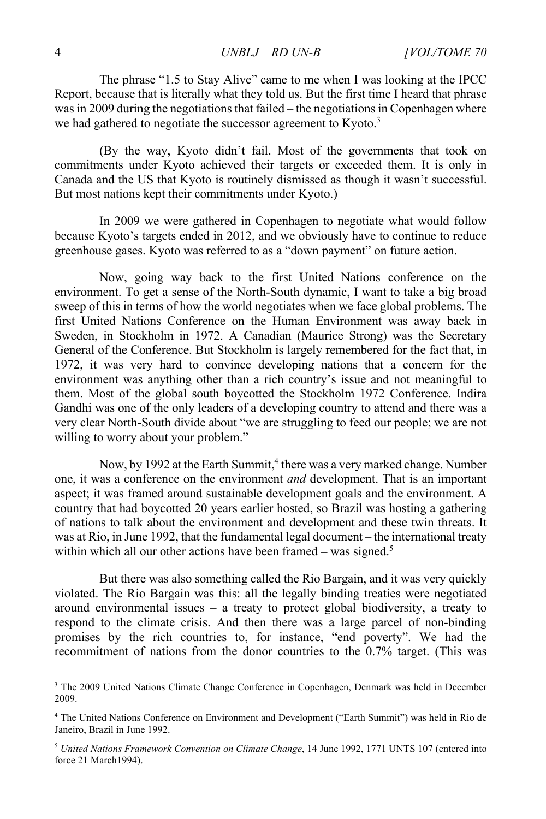The phrase "1.5 to Stay Alive" came to me when I was looking at the IPCC Report, because that is literally what they told us. But the first time I heard that phrase was in 2009 during the negotiations that failed – the negotiations in Copenhagen where we had gathered to negotiate the successor agreement to Kyoto.<sup>3</sup>

(By the way, Kyoto didn't fail. Most of the governments that took on commitments under Kyoto achieved their targets or exceeded them. It is only in Canada and the US that Kyoto is routinely dismissed as though it wasn't successful. But most nations kept their commitments under Kyoto.)

In 2009 we were gathered in Copenhagen to negotiate what would follow because Kyoto's targets ended in 2012, and we obviously have to continue to reduce greenhouse gases. Kyoto was referred to as a "down payment" on future action.

Now, going way back to the first United Nations conference on the environment. To get a sense of the North-South dynamic, I want to take a big broad sweep of this in terms of how the world negotiates when we face global problems. The first United Nations Conference on the Human Environment was away back in Sweden, in Stockholm in 1972. A Canadian (Maurice Strong) was the Secretary General of the Conference. But Stockholm is largely remembered for the fact that, in 1972, it was very hard to convince developing nations that a concern for the environment was anything other than a rich country's issue and not meaningful to them. Most of the global south boycotted the Stockholm 1972 Conference. Indira Gandhi was one of the only leaders of a developing country to attend and there was a very clear North-South divide about "we are struggling to feed our people; we are not willing to worry about your problem."

Now, by 1992 at the Earth Summit,<sup>4</sup> there was a very marked change. Number one, it was a conference on the environment *and* development. That is an important aspect; it was framed around sustainable development goals and the environment. A country that had boycotted 20 years earlier hosted, so Brazil was hosting a gathering of nations to talk about the environment and development and these twin threats. It was at Rio, in June 1992, that the fundamental legal document – the international treaty within which all our other actions have been framed – was signed.<sup>5</sup>

But there was also something called the Rio Bargain, and it was very quickly violated. The Rio Bargain was this: all the legally binding treaties were negotiated around environmental issues – a treaty to protect global biodiversity, a treaty to respond to the climate crisis. And then there was a large parcel of non-binding promises by the rich countries to, for instance, "end poverty". We had the recommitment of nations from the donor countries to the 0.7% target. (This was

<sup>&</sup>lt;sup>3</sup> The 2009 United Nations Climate Change Conference in Copenhagen, Denmark was held in December 2009.

<sup>4</sup> The United Nations Conference on Environment and Development ("Earth Summit") was held in Rio de Janeiro, Brazil in June 1992.

<sup>5</sup> *United Nations Framework Convention on Climate Change*, 14 June 1992, 1771 UNTS 107 (entered into force 21 March1994).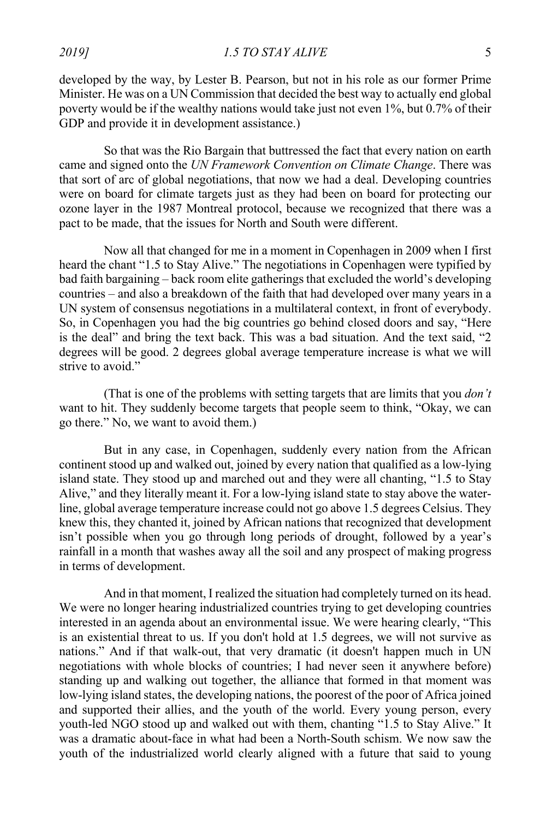*2019] 1.5 TO STAY ALIVE* 5

developed by the way, by Lester B. Pearson, but not in his role as our former Prime Minister. He was on a UN Commission that decided the best way to actually end global poverty would be if the wealthy nations would take just not even 1%, but 0.7% of their GDP and provide it in development assistance.)

So that was the Rio Bargain that buttressed the fact that every nation on earth came and signed onto the *UN Framework Convention on Climate Change*. There was that sort of arc of global negotiations, that now we had a deal. Developing countries were on board for climate targets just as they had been on board for protecting our ozone layer in the 1987 Montreal protocol, because we recognized that there was a pact to be made, that the issues for North and South were different.

Now all that changed for me in a moment in Copenhagen in 2009 when I first heard the chant "1.5 to Stay Alive." The negotiations in Copenhagen were typified by bad faith bargaining – back room elite gatherings that excluded the world's developing countries – and also a breakdown of the faith that had developed over many years in a UN system of consensus negotiations in a multilateral context, in front of everybody. So, in Copenhagen you had the big countries go behind closed doors and say, "Here is the deal" and bring the text back. This was a bad situation. And the text said, "2 degrees will be good. 2 degrees global average temperature increase is what we will strive to avoid."

(That is one of the problems with setting targets that are limits that you *don't* want to hit. They suddenly become targets that people seem to think, "Okay, we can go there." No, we want to avoid them.)

But in any case, in Copenhagen, suddenly every nation from the African continent stood up and walked out, joined by every nation that qualified as a low-lying island state. They stood up and marched out and they were all chanting, "1.5 to Stay Alive," and they literally meant it. For a low-lying island state to stay above the waterline, global average temperature increase could not go above 1.5 degrees Celsius. They knew this, they chanted it, joined by African nations that recognized that development isn't possible when you go through long periods of drought, followed by a year's rainfall in a month that washes away all the soil and any prospect of making progress in terms of development.

And in that moment, I realized the situation had completely turned on its head. We were no longer hearing industrialized countries trying to get developing countries interested in an agenda about an environmental issue. We were hearing clearly, "This is an existential threat to us. If you don't hold at 1.5 degrees, we will not survive as nations." And if that walk-out, that very dramatic (it doesn't happen much in UN negotiations with whole blocks of countries; I had never seen it anywhere before) standing up and walking out together, the alliance that formed in that moment was low-lying island states, the developing nations, the poorest of the poor of Africa joined and supported their allies, and the youth of the world. Every young person, every youth-led NGO stood up and walked out with them, chanting "1.5 to Stay Alive." It was a dramatic about-face in what had been a North-South schism. We now saw the youth of the industrialized world clearly aligned with a future that said to young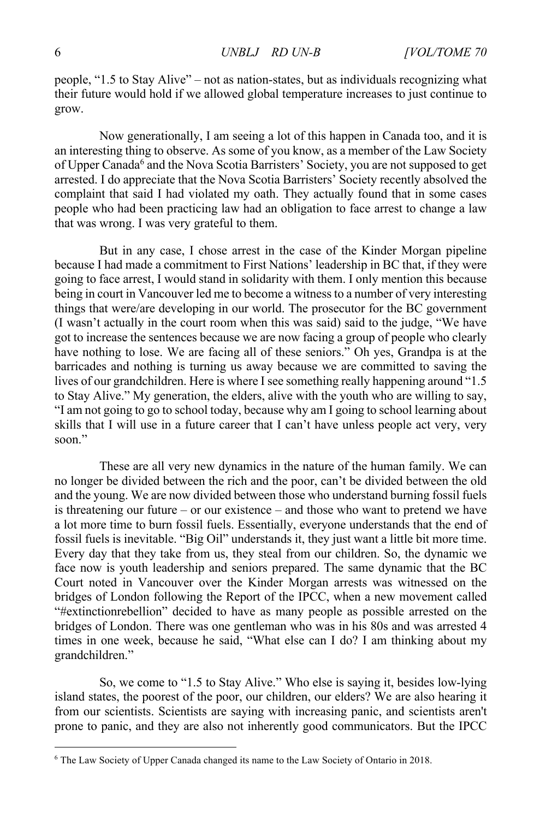people, "1.5 to Stay Alive" – not as nation-states, but as individuals recognizing what their future would hold if we allowed global temperature increases to just continue to grow.

Now generationally, I am seeing a lot of this happen in Canada too, and it is an interesting thing to observe. As some of you know, as a member of the Law Society of Upper Canada<sup>6</sup> and the Nova Scotia Barristers' Society, you are not supposed to get arrested. I do appreciate that the Nova Scotia Barristers' Society recently absolved the complaint that said I had violated my oath. They actually found that in some cases people who had been practicing law had an obligation to face arrest to change a law that was wrong. I was very grateful to them.

But in any case, I chose arrest in the case of the Kinder Morgan pipeline because I had made a commitment to First Nations' leadership in BC that, if they were going to face arrest, I would stand in solidarity with them. I only mention this because being in court in Vancouver led me to become a witness to a number of very interesting things that were/are developing in our world. The prosecutor for the BC government (I wasn't actually in the court room when this was said) said to the judge, "We have got to increase the sentences because we are now facing a group of people who clearly have nothing to lose. We are facing all of these seniors." Oh yes, Grandpa is at the barricades and nothing is turning us away because we are committed to saving the lives of our grandchildren. Here is where I see something really happening around "1.5 to Stay Alive." My generation, the elders, alive with the youth who are willing to say, "I am not going to go to school today, because why am I going to school learning about skills that I will use in a future career that I can't have unless people act very, very soon"

These are all very new dynamics in the nature of the human family. We can no longer be divided between the rich and the poor, can't be divided between the old and the young. We are now divided between those who understand burning fossil fuels is threatening our future – or our existence – and those who want to pretend we have a lot more time to burn fossil fuels. Essentially, everyone understands that the end of fossil fuels is inevitable. "Big Oil" understands it, they just want a little bit more time. Every day that they take from us, they steal from our children. So, the dynamic we face now is youth leadership and seniors prepared. The same dynamic that the BC Court noted in Vancouver over the Kinder Morgan arrests was witnessed on the bridges of London following the Report of the IPCC, when a new movement called "#extinctionrebellion" decided to have as many people as possible arrested on the bridges of London. There was one gentleman who was in his 80s and was arrested 4 times in one week, because he said, "What else can I do? I am thinking about my grandchildren."

So, we come to "1.5 to Stay Alive." Who else is saying it, besides low-lying island states, the poorest of the poor, our children, our elders? We are also hearing it from our scientists. Scientists are saying with increasing panic, and scientists aren't prone to panic, and they are also not inherently good communicators. But the IPCC

<sup>6</sup> The Law Society of Upper Canada changed its name to the Law Society of Ontario in 2018.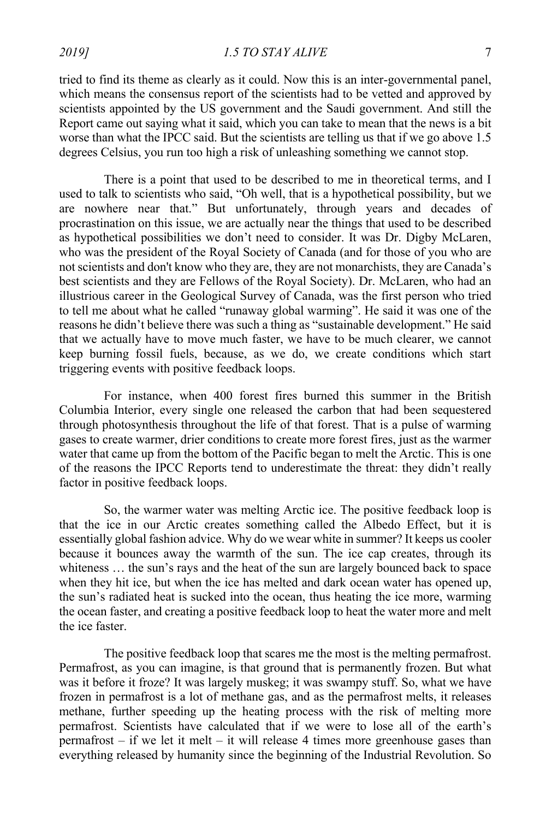tried to find its theme as clearly as it could. Now this is an inter-governmental panel, which means the consensus report of the scientists had to be vetted and approved by scientists appointed by the US government and the Saudi government. And still the Report came out saying what it said, which you can take to mean that the news is a bit worse than what the IPCC said. But the scientists are telling us that if we go above 1.5 degrees Celsius, you run too high a risk of unleashing something we cannot stop.

There is a point that used to be described to me in theoretical terms, and I used to talk to scientists who said, "Oh well, that is a hypothetical possibility, but we are nowhere near that." But unfortunately, through years and decades of procrastination on this issue, we are actually near the things that used to be described as hypothetical possibilities we don't need to consider. It was Dr. Digby McLaren, who was the president of the Royal Society of Canada (and for those of you who are not scientists and don't know who they are, they are not monarchists, they are Canada's best scientists and they are Fellows of the Royal Society). Dr. McLaren, who had an illustrious career in the Geological Survey of Canada, was the first person who tried to tell me about what he called "runaway global warming". He said it was one of the reasons he didn't believe there was such a thing as "sustainable development." He said that we actually have to move much faster, we have to be much clearer, we cannot keep burning fossil fuels, because, as we do, we create conditions which start triggering events with positive feedback loops.

For instance, when 400 forest fires burned this summer in the British Columbia Interior, every single one released the carbon that had been sequestered through photosynthesis throughout the life of that forest. That is a pulse of warming gases to create warmer, drier conditions to create more forest fires, just as the warmer water that came up from the bottom of the Pacific began to melt the Arctic. This is one of the reasons the IPCC Reports tend to underestimate the threat: they didn't really factor in positive feedback loops.

So, the warmer water was melting Arctic ice. The positive feedback loop is that the ice in our Arctic creates something called the Albedo Effect, but it is essentially global fashion advice. Why do we wear white in summer? It keeps us cooler because it bounces away the warmth of the sun. The ice cap creates, through its whiteness … the sun's rays and the heat of the sun are largely bounced back to space when they hit ice, but when the ice has melted and dark ocean water has opened up, the sun's radiated heat is sucked into the ocean, thus heating the ice more, warming the ocean faster, and creating a positive feedback loop to heat the water more and melt the ice faster.

The positive feedback loop that scares me the most is the melting permafrost. Permafrost, as you can imagine, is that ground that is permanently frozen. But what was it before it froze? It was largely muskeg; it was swampy stuff. So, what we have frozen in permafrost is a lot of methane gas, and as the permafrost melts, it releases methane, further speeding up the heating process with the risk of melting more permafrost. Scientists have calculated that if we were to lose all of the earth's permafrost – if we let it melt – it will release 4 times more greenhouse gases than everything released by humanity since the beginning of the Industrial Revolution. So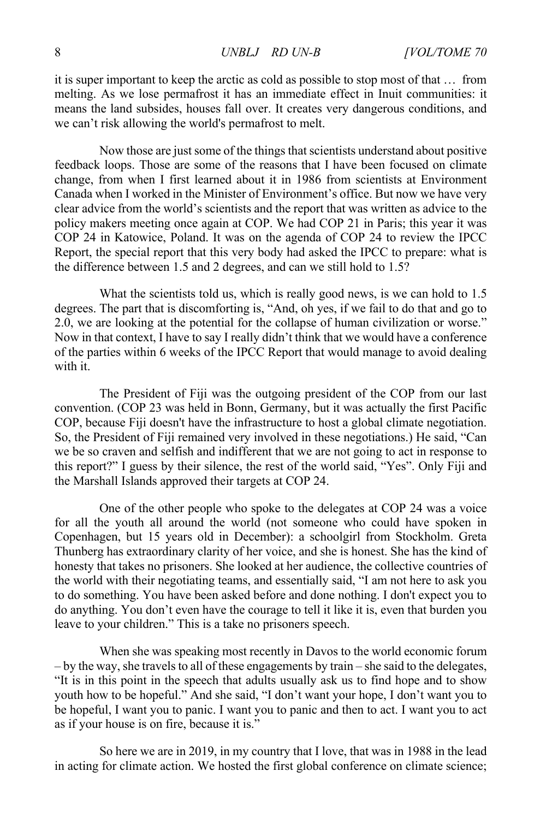it is super important to keep the arctic as cold as possible to stop most of that … from melting. As we lose permafrost it has an immediate effect in Inuit communities: it means the land subsides, houses fall over. It creates very dangerous conditions, and we can't risk allowing the world's permafrost to melt.

Now those are just some of the things that scientists understand about positive feedback loops. Those are some of the reasons that I have been focused on climate change, from when I first learned about it in 1986 from scientists at Environment Canada when I worked in the Minister of Environment's office. But now we have very clear advice from the world's scientists and the report that was written as advice to the policy makers meeting once again at COP. We had COP 21 in Paris; this year it was COP 24 in Katowice, Poland. It was on the agenda of COP 24 to review the IPCC Report, the special report that this very body had asked the IPCC to prepare: what is the difference between 1.5 and 2 degrees, and can we still hold to 1.5?

What the scientists told us, which is really good news, is we can hold to 1.5 degrees. The part that is discomforting is, "And, oh yes, if we fail to do that and go to 2.0, we are looking at the potential for the collapse of human civilization or worse." Now in that context, I have to say I really didn't think that we would have a conference of the parties within 6 weeks of the IPCC Report that would manage to avoid dealing with it.

The President of Fiji was the outgoing president of the COP from our last convention. (COP 23 was held in Bonn, Germany, but it was actually the first Pacific COP, because Fiji doesn't have the infrastructure to host a global climate negotiation. So, the President of Fiji remained very involved in these negotiations.) He said, "Can we be so craven and selfish and indifferent that we are not going to act in response to this report?" I guess by their silence, the rest of the world said, "Yes". Only Fiji and the Marshall Islands approved their targets at COP 24.

One of the other people who spoke to the delegates at COP 24 was a voice for all the youth all around the world (not someone who could have spoken in Copenhagen, but 15 years old in December): a schoolgirl from Stockholm. Greta Thunberg has extraordinary clarity of her voice, and she is honest. She has the kind of honesty that takes no prisoners. She looked at her audience, the collective countries of the world with their negotiating teams, and essentially said, "I am not here to ask you to do something. You have been asked before and done nothing. I don't expect you to do anything. You don't even have the courage to tell it like it is, even that burden you leave to your children." This is a take no prisoners speech.

When she was speaking most recently in Davos to the world economic forum – by the way, she travels to all of these engagements by train – she said to the delegates, "It is in this point in the speech that adults usually ask us to find hope and to show youth how to be hopeful." And she said, "I don't want your hope, I don't want you to be hopeful, I want you to panic. I want you to panic and then to act. I want you to act as if your house is on fire, because it is."

So here we are in 2019, in my country that I love, that was in 1988 in the lead in acting for climate action. We hosted the first global conference on climate science;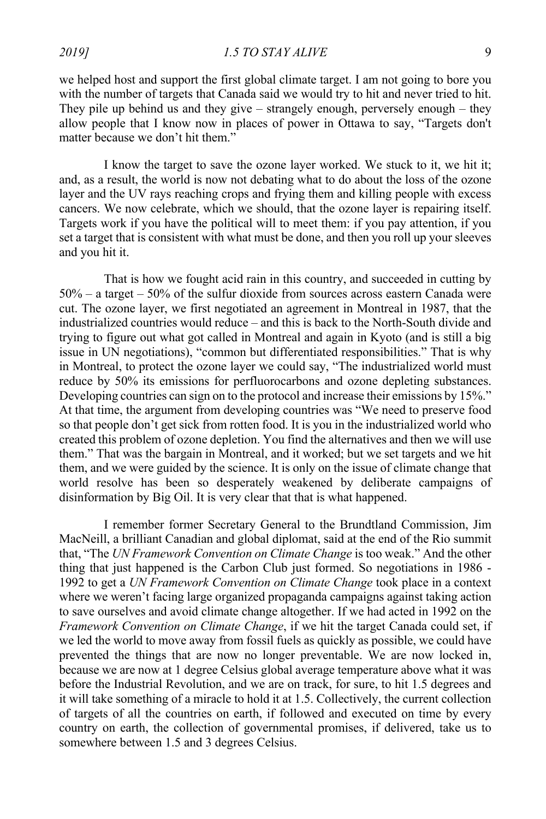we helped host and support the first global climate target. I am not going to bore you with the number of targets that Canada said we would try to hit and never tried to hit. They pile up behind us and they give – strangely enough, perversely enough – they allow people that I know now in places of power in Ottawa to say, "Targets don't matter because we don't hit them."

I know the target to save the ozone layer worked. We stuck to it, we hit it; and, as a result, the world is now not debating what to do about the loss of the ozone layer and the UV rays reaching crops and frying them and killing people with excess cancers. We now celebrate, which we should, that the ozone layer is repairing itself. Targets work if you have the political will to meet them: if you pay attention, if you set a target that is consistent with what must be done, and then you roll up your sleeves and you hit it.

That is how we fought acid rain in this country, and succeeded in cutting by 50% – a target – 50% of the sulfur dioxide from sources across eastern Canada were cut. The ozone layer, we first negotiated an agreement in Montreal in 1987, that the industrialized countries would reduce – and this is back to the North-South divide and trying to figure out what got called in Montreal and again in Kyoto (and is still a big issue in UN negotiations), "common but differentiated responsibilities." That is why in Montreal, to protect the ozone layer we could say, "The industrialized world must reduce by 50% its emissions for perfluorocarbons and ozone depleting substances. Developing countries can sign on to the protocol and increase their emissions by 15%." At that time, the argument from developing countries was "We need to preserve food so that people don't get sick from rotten food. It is you in the industrialized world who created this problem of ozone depletion. You find the alternatives and then we will use them." That was the bargain in Montreal, and it worked; but we set targets and we hit them, and we were guided by the science. It is only on the issue of climate change that world resolve has been so desperately weakened by deliberate campaigns of disinformation by Big Oil. It is very clear that that is what happened.

I remember former Secretary General to the Brundtland Commission, Jim MacNeill, a brilliant Canadian and global diplomat, said at the end of the Rio summit that, "The *UN Framework Convention on Climate Change* is too weak." And the other thing that just happened is the Carbon Club just formed. So negotiations in 1986 - 1992 to get a *UN Framework Convention on Climate Change* took place in a context where we weren't facing large organized propaganda campaigns against taking action to save ourselves and avoid climate change altogether. If we had acted in 1992 on the *Framework Convention on Climate Change*, if we hit the target Canada could set, if we led the world to move away from fossil fuels as quickly as possible, we could have prevented the things that are now no longer preventable. We are now locked in, because we are now at 1 degree Celsius global average temperature above what it was before the Industrial Revolution, and we are on track, for sure, to hit 1.5 degrees and it will take something of a miracle to hold it at 1.5. Collectively, the current collection of targets of all the countries on earth, if followed and executed on time by every country on earth, the collection of governmental promises, if delivered, take us to somewhere between 1.5 and 3 degrees Celsius.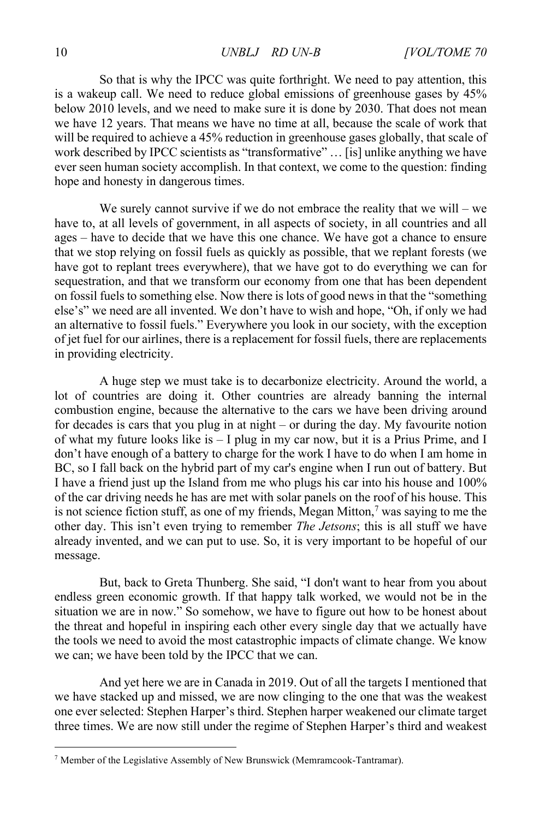So that is why the IPCC was quite forthright. We need to pay attention, this is a wakeup call. We need to reduce global emissions of greenhouse gases by 45% below 2010 levels, and we need to make sure it is done by 2030. That does not mean we have 12 years. That means we have no time at all, because the scale of work that will be required to achieve a 45% reduction in greenhouse gases globally, that scale of work described by IPCC scientists as "transformative" … [is] unlike anything we have ever seen human society accomplish. In that context, we come to the question: finding hope and honesty in dangerous times.

We surely cannot survive if we do not embrace the reality that we will – we have to, at all levels of government, in all aspects of society, in all countries and all ages – have to decide that we have this one chance. We have got a chance to ensure that we stop relying on fossil fuels as quickly as possible, that we replant forests (we have got to replant trees everywhere), that we have got to do everything we can for sequestration, and that we transform our economy from one that has been dependent on fossil fuels to something else. Now there is lots of good news in that the "something else's" we need are all invented. We don't have to wish and hope, "Oh, if only we had an alternative to fossil fuels." Everywhere you look in our society, with the exception of jet fuel for our airlines, there is a replacement for fossil fuels, there are replacements in providing electricity.

A huge step we must take is to decarbonize electricity. Around the world, a lot of countries are doing it. Other countries are already banning the internal combustion engine, because the alternative to the cars we have been driving around for decades is cars that you plug in at night – or during the day. My favourite notion of what my future looks like is – I plug in my car now, but it is a Prius Prime, and I don't have enough of a battery to charge for the work I have to do when I am home in BC, so I fall back on the hybrid part of my car's engine when I run out of battery. But I have a friend just up the Island from me who plugs his car into his house and 100% of the car driving needs he has are met with solar panels on the roof of his house. This is not science fiction stuff, as one of my friends, Megan Mitton, $\frac{7}{1}$  was saying to me the other day. This isn't even trying to remember *The Jetsons*; this is all stuff we have already invented, and we can put to use. So, it is very important to be hopeful of our message.

But, back to Greta Thunberg. She said, "I don't want to hear from you about endless green economic growth. If that happy talk worked, we would not be in the situation we are in now." So somehow, we have to figure out how to be honest about the threat and hopeful in inspiring each other every single day that we actually have the tools we need to avoid the most catastrophic impacts of climate change. We know we can; we have been told by the IPCC that we can.

And yet here we are in Canada in 2019. Out of all the targets I mentioned that we have stacked up and missed, we are now clinging to the one that was the weakest one ever selected: Stephen Harper's third. Stephen harper weakened our climate target three times. We are now still under the regime of Stephen Harper's third and weakest

<sup>7</sup> Member of the Legislative Assembly of New Brunswick (Memramcook-Tantramar).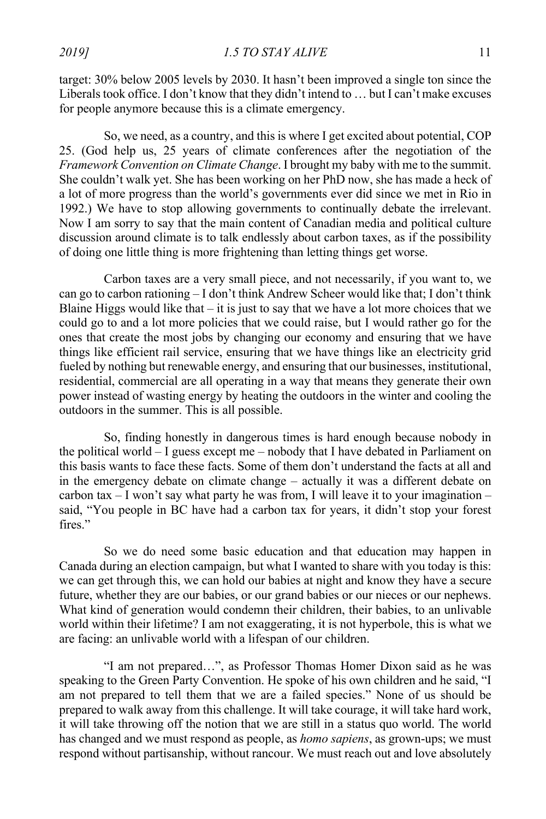*2019]* **1.5 TO STAY ALIVE 11** 

target: 30% below 2005 levels by 2030. It hasn't been improved a single ton since the Liberals took office. I don't know that they didn't intend to … but I can't make excuses for people anymore because this is a climate emergency.

So, we need, as a country, and this is where I get excited about potential, COP 25. (God help us, 25 years of climate conferences after the negotiation of the *Framework Convention on Climate Change*. I brought my baby with me to the summit. She couldn't walk yet. She has been working on her PhD now, she has made a heck of a lot of more progress than the world's governments ever did since we met in Rio in 1992.) We have to stop allowing governments to continually debate the irrelevant. Now I am sorry to say that the main content of Canadian media and political culture discussion around climate is to talk endlessly about carbon taxes, as if the possibility of doing one little thing is more frightening than letting things get worse.

Carbon taxes are a very small piece, and not necessarily, if you want to, we can go to carbon rationing – I don't think Andrew Scheer would like that; I don't think Blaine Higgs would like that  $-$  it is just to say that we have a lot more choices that we could go to and a lot more policies that we could raise, but I would rather go for the ones that create the most jobs by changing our economy and ensuring that we have things like efficient rail service, ensuring that we have things like an electricity grid fueled by nothing but renewable energy, and ensuring that our businesses, institutional, residential, commercial are all operating in a way that means they generate their own power instead of wasting energy by heating the outdoors in the winter and cooling the outdoors in the summer. This is all possible.

So, finding honestly in dangerous times is hard enough because nobody in the political world – I guess except me – nobody that I have debated in Parliament on this basis wants to face these facts. Some of them don't understand the facts at all and in the emergency debate on climate change – actually it was a different debate on carbon tax  $-$  I won't say what party he was from, I will leave it to your imagination  $$ said, "You people in BC have had a carbon tax for years, it didn't stop your forest fires."

So we do need some basic education and that education may happen in Canada during an election campaign, but what I wanted to share with you today is this: we can get through this, we can hold our babies at night and know they have a secure future, whether they are our babies, or our grand babies or our nieces or our nephews. What kind of generation would condemn their children, their babies, to an unlivable world within their lifetime? I am not exaggerating, it is not hyperbole, this is what we are facing: an unlivable world with a lifespan of our children.

"I am not prepared…", as Professor Thomas Homer Dixon said as he was speaking to the Green Party Convention. He spoke of his own children and he said, "I am not prepared to tell them that we are a failed species." None of us should be prepared to walk away from this challenge. It will take courage, it will take hard work, it will take throwing off the notion that we are still in a status quo world. The world has changed and we must respond as people, as *homo sapiens*, as grown-ups; we must respond without partisanship, without rancour. We must reach out and love absolutely